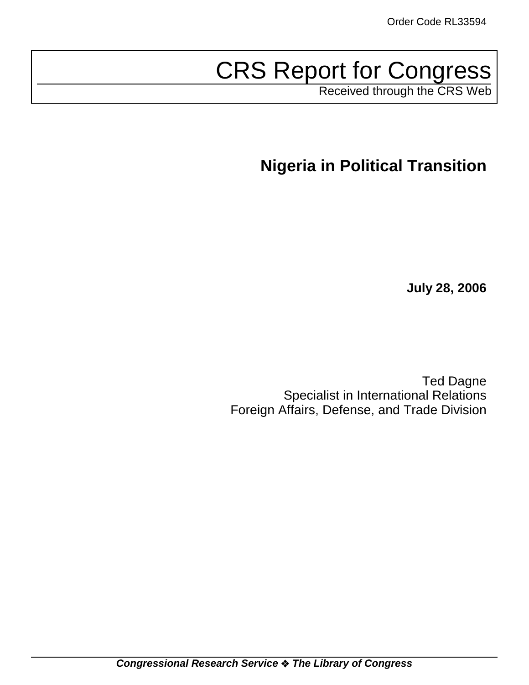# CRS Report for Congress

Received through the CRS Web

**Nigeria in Political Transition**

**July 28, 2006**

Ted Dagne Specialist in International Relations Foreign Affairs, Defense, and Trade Division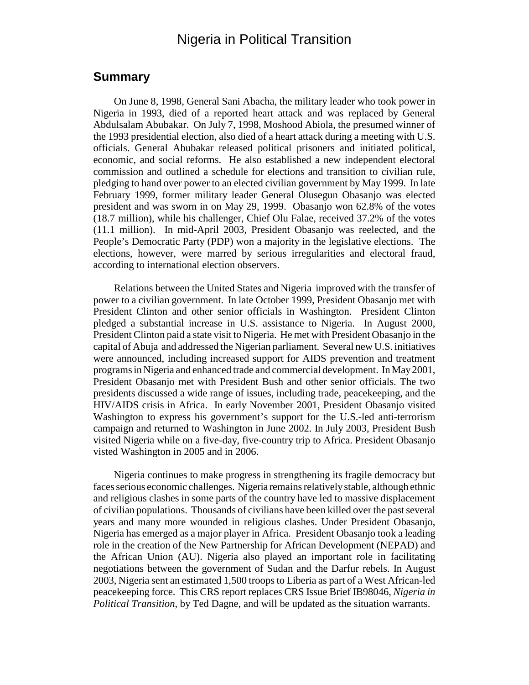## Nigeria in Political Transition

#### **Summary**

On June 8, 1998, General Sani Abacha, the military leader who took power in Nigeria in 1993, died of a reported heart attack and was replaced by General Abdulsalam Abubakar. On July 7, 1998, Moshood Abiola, the presumed winner of the 1993 presidential election, also died of a heart attack during a meeting with U.S. officials. General Abubakar released political prisoners and initiated political, economic, and social reforms. He also established a new independent electoral commission and outlined a schedule for elections and transition to civilian rule, pledging to hand over power to an elected civilian government by May 1999. In late February 1999, former military leader General Olusegun Obasanjo was elected president and was sworn in on May 29, 1999. Obasanjo won 62.8% of the votes (18.7 million), while his challenger, Chief Olu Falae, received 37.2% of the votes (11.1 million). In mid-April 2003, President Obasanjo was reelected, and the People's Democratic Party (PDP) won a majority in the legislative elections. The elections, however, were marred by serious irregularities and electoral fraud, according to international election observers.

Relations between the United States and Nigeria improved with the transfer of power to a civilian government. In late October 1999, President Obasanjo met with President Clinton and other senior officials in Washington. President Clinton pledged a substantial increase in U.S. assistance to Nigeria. In August 2000, President Clinton paid a state visit to Nigeria. He met with President Obasanjo in the capital of Abuja and addressed the Nigerian parliament. Several new U.S. initiatives were announced, including increased support for AIDS prevention and treatment programs in Nigeria and enhanced trade and commercial development. In May 2001, President Obasanjo met with President Bush and other senior officials. The two presidents discussed a wide range of issues, including trade, peacekeeping, and the HIV/AIDS crisis in Africa. In early November 2001, President Obasanjo visited Washington to express his government's support for the U.S.-led anti-terrorism campaign and returned to Washington in June 2002. In July 2003, President Bush visited Nigeria while on a five-day, five-country trip to Africa. President Obasanjo visted Washington in 2005 and in 2006.

Nigeria continues to make progress in strengthening its fragile democracy but faces serious economic challenges. Nigeria remains relatively stable, although ethnic and religious clashes in some parts of the country have led to massive displacement of civilian populations. Thousands of civilians have been killed over the past several years and many more wounded in religious clashes. Under President Obasanjo, Nigeria has emerged as a major player in Africa. President Obasanjo took a leading role in the creation of the New Partnership for African Development (NEPAD) and the African Union (AU). Nigeria also played an important role in facilitating negotiations between the government of Sudan and the Darfur rebels. In August 2003, Nigeria sent an estimated 1,500 troops to Liberia as part of a West African-led peacekeeping force. This CRS report replaces CRS Issue Brief IB98046, *Nigeria in Political Transition*, by Ted Dagne, and will be updated as the situation warrants.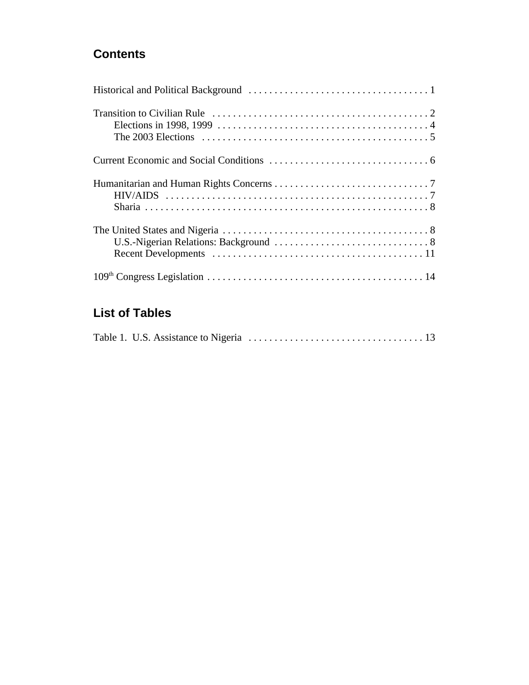# **Contents**

# **List of Tables**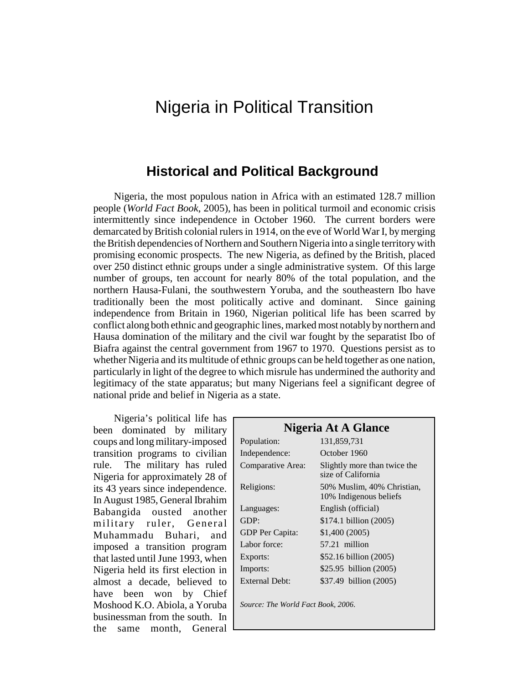# Nigeria in Political Transition

## **Historical and Political Background**

Nigeria, the most populous nation in Africa with an estimated 128.7 million people (*World Fact Book*, 2005), has been in political turmoil and economic crisis intermittently since independence in October 1960. The current borders were demarcated by British colonial rulers in 1914, on the eve of World War I, by merging the British dependencies of Northern and Southern Nigeria into a single territory with promising economic prospects. The new Nigeria, as defined by the British, placed over 250 distinct ethnic groups under a single administrative system. Of this large number of groups, ten account for nearly 80% of the total population, and the northern Hausa-Fulani, the southwestern Yoruba, and the southeastern Ibo have traditionally been the most politically active and dominant. Since gaining independence from Britain in 1960, Nigerian political life has been scarred by conflict along both ethnic and geographic lines, marked most notably by northern and Hausa domination of the military and the civil war fought by the separatist Ibo of Biafra against the central government from 1967 to 1970. Questions persist as to whether Nigeria and its multitude of ethnic groups can be held together as one nation, particularly in light of the degree to which misrule has undermined the authority and legitimacy of the state apparatus; but many Nigerians feel a significant degree of national pride and belief in Nigeria as a state.

Nigeria's political life has been dominated by military coups and long military-imposed transition programs to civilian rule. The military has ruled Nigeria for approximately 28 of its 43 years since independence. In August 1985, General Ibrahim Babangida ousted another military ruler, General Muhammadu Buhari, and imposed a transition program that lasted until June 1993, when Nigeria held its first election in almost a decade, believed to have been won by Chief Moshood K.O. Abiola, a Yoruba businessman from the south. In the same month, General

| <b>Nigeria At A Glance</b>         |                                                      |  |  |  |  |  |
|------------------------------------|------------------------------------------------------|--|--|--|--|--|
| Population:                        | 131,859,731                                          |  |  |  |  |  |
| Independence:                      | October 1960                                         |  |  |  |  |  |
| Comparative Area:                  | Slightly more than twice the<br>size of California   |  |  |  |  |  |
| Religions:                         | 50% Muslim, 40% Christian,<br>10% Indigenous beliefs |  |  |  |  |  |
| Languages:                         | English (official)                                   |  |  |  |  |  |
| GDP:                               | \$174.1 billion (2005)                               |  |  |  |  |  |
| GDP Per Capita:                    | \$1,400 (2005)                                       |  |  |  |  |  |
| Labor force:                       | $57.21$ million                                      |  |  |  |  |  |
| Exports:                           | \$52.16 billion (2005)                               |  |  |  |  |  |
| Imports:                           | \$25.95 billion (2005)                               |  |  |  |  |  |
| <b>External Debt:</b>              | \$37.49 billion (2005)                               |  |  |  |  |  |
| Source: The World Fact Book, 2006. |                                                      |  |  |  |  |  |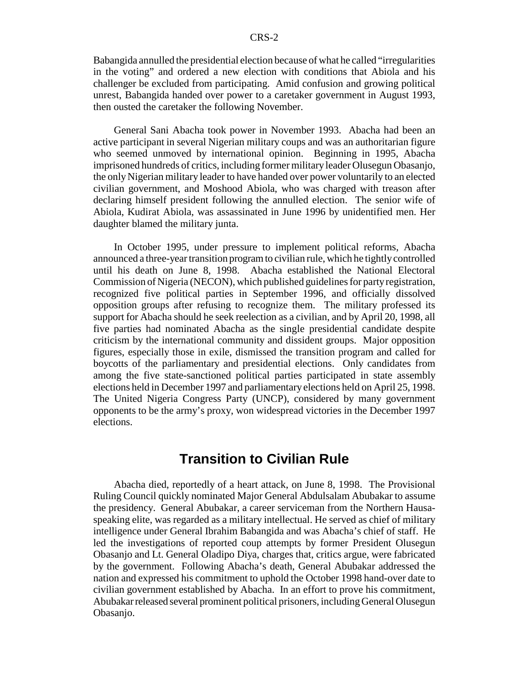Babangida annulled the presidential election because of what he called "irregularities in the voting" and ordered a new election with conditions that Abiola and his challenger be excluded from participating. Amid confusion and growing political unrest, Babangida handed over power to a caretaker government in August 1993, then ousted the caretaker the following November.

General Sani Abacha took power in November 1993. Abacha had been an active participant in several Nigerian military coups and was an authoritarian figure who seemed unmoved by international opinion. Beginning in 1995, Abacha imprisoned hundreds of critics, including former military leader Olusegun Obasanjo, the only Nigerian military leader to have handed over power voluntarily to an elected civilian government, and Moshood Abiola, who was charged with treason after declaring himself president following the annulled election. The senior wife of Abiola, Kudirat Abiola, was assassinated in June 1996 by unidentified men. Her daughter blamed the military junta.

In October 1995, under pressure to implement political reforms, Abacha announced a three-year transition program to civilian rule, which he tightly controlled until his death on June 8, 1998. Abacha established the National Electoral Commission of Nigeria (NECON), which published guidelines for party registration, recognized five political parties in September 1996, and officially dissolved opposition groups after refusing to recognize them. The military professed its support for Abacha should he seek reelection as a civilian, and by April 20, 1998, all five parties had nominated Abacha as the single presidential candidate despite criticism by the international community and dissident groups. Major opposition figures, especially those in exile, dismissed the transition program and called for boycotts of the parliamentary and presidential elections. Only candidates from among the five state-sanctioned political parties participated in state assembly elections held in December 1997 and parliamentary elections held on April 25, 1998. The United Nigeria Congress Party (UNCP), considered by many government opponents to be the army's proxy, won widespread victories in the December 1997 elections.

## **Transition to Civilian Rule**

Abacha died, reportedly of a heart attack, on June 8, 1998. The Provisional Ruling Council quickly nominated Major General Abdulsalam Abubakar to assume the presidency. General Abubakar, a career serviceman from the Northern Hausaspeaking elite, was regarded as a military intellectual. He served as chief of military intelligence under General Ibrahim Babangida and was Abacha's chief of staff. He led the investigations of reported coup attempts by former President Olusegun Obasanjo and Lt. General Oladipo Diya, charges that, critics argue, were fabricated by the government. Following Abacha's death, General Abubakar addressed the nation and expressed his commitment to uphold the October 1998 hand-over date to civilian government established by Abacha. In an effort to prove his commitment, Abubakar released several prominent political prisoners, including General Olusegun Obasanjo.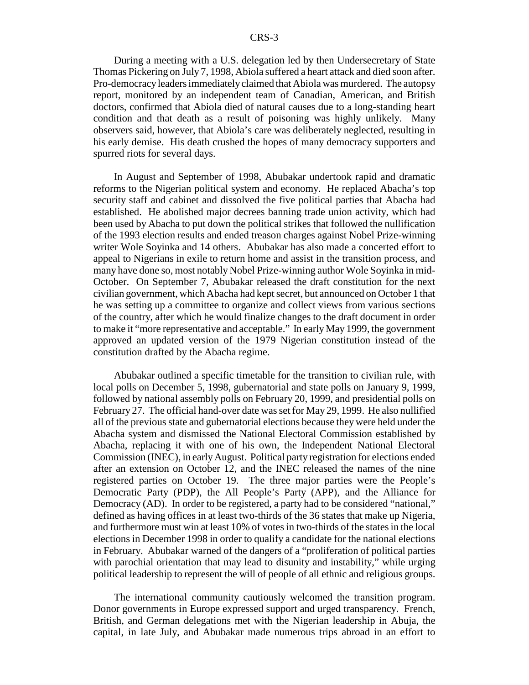During a meeting with a U.S. delegation led by then Undersecretary of State Thomas Pickering on July 7, 1998, Abiola suffered a heart attack and died soon after. Pro-democracy leaders immediately claimed that Abiola was murdered. The autopsy report, monitored by an independent team of Canadian, American, and British doctors, confirmed that Abiola died of natural causes due to a long-standing heart condition and that death as a result of poisoning was highly unlikely. Many observers said, however, that Abiola's care was deliberately neglected, resulting in his early demise. His death crushed the hopes of many democracy supporters and spurred riots for several days.

In August and September of 1998, Abubakar undertook rapid and dramatic reforms to the Nigerian political system and economy. He replaced Abacha's top security staff and cabinet and dissolved the five political parties that Abacha had established. He abolished major decrees banning trade union activity, which had been used by Abacha to put down the political strikes that followed the nullification of the 1993 election results and ended treason charges against Nobel Prize-winning writer Wole Soyinka and 14 others. Abubakar has also made a concerted effort to appeal to Nigerians in exile to return home and assist in the transition process, and many have done so, most notably Nobel Prize-winning author Wole Soyinka in mid-October. On September 7, Abubakar released the draft constitution for the next civilian government, which Abacha had kept secret, but announced on October 1 that he was setting up a committee to organize and collect views from various sections of the country, after which he would finalize changes to the draft document in order to make it "more representative and acceptable." In early May 1999, the government approved an updated version of the 1979 Nigerian constitution instead of the constitution drafted by the Abacha regime.

Abubakar outlined a specific timetable for the transition to civilian rule, with local polls on December 5, 1998, gubernatorial and state polls on January 9, 1999, followed by national assembly polls on February 20, 1999, and presidential polls on February 27. The official hand-over date was set for May 29, 1999. He also nullified all of the previous state and gubernatorial elections because they were held under the Abacha system and dismissed the National Electoral Commission established by Abacha, replacing it with one of his own, the Independent National Electoral Commission (INEC), in early August. Political party registration for elections ended after an extension on October 12, and the INEC released the names of the nine registered parties on October 19. The three major parties were the People's Democratic Party (PDP), the All People's Party (APP), and the Alliance for Democracy (AD). In order to be registered, a party had to be considered "national," defined as having offices in at least two-thirds of the 36 states that make up Nigeria, and furthermore must win at least 10% of votes in two-thirds of the states in the local elections in December 1998 in order to qualify a candidate for the national elections in February. Abubakar warned of the dangers of a "proliferation of political parties with parochial orientation that may lead to disunity and instability," while urging political leadership to represent the will of people of all ethnic and religious groups.

The international community cautiously welcomed the transition program. Donor governments in Europe expressed support and urged transparency. French, British, and German delegations met with the Nigerian leadership in Abuja, the capital, in late July, and Abubakar made numerous trips abroad in an effort to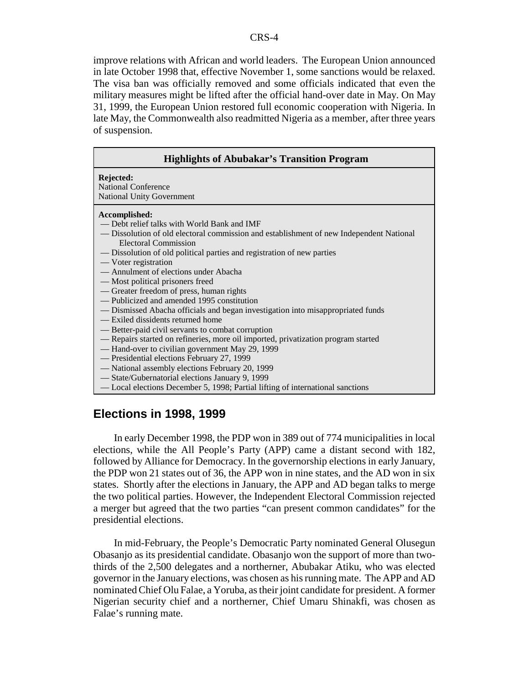improve relations with African and world leaders. The European Union announced in late October 1998 that, effective November 1, some sanctions would be relaxed. The visa ban was officially removed and some officials indicated that even the military measures might be lifted after the official hand-over date in May. On May 31, 1999, the European Union restored full economic cooperation with Nigeria. In late May, the Commonwealth also readmitted Nigeria as a member, after three years of suspension.

| <b>Highlights of Abubakar's Transition Program</b>                                                                                   |
|--------------------------------------------------------------------------------------------------------------------------------------|
| Rejected:<br><b>National Conference</b>                                                                                              |
| <b>National Unity Government</b>                                                                                                     |
| Accomplished:<br>— Debt relief talks with World Bank and IMF                                                                         |
| - Dissolution of old electoral commission and establishment of new Independent National<br>Electoral Commission                      |
| — Dissolution of old political parties and registration of new parties<br>$-$ Voter registration                                     |
| - Annulment of elections under Abacha                                                                                                |
| — Most political prisoners freed<br>— Greater freedom of press, human rights                                                         |
| — Publicized and amended 1995 constitution                                                                                           |
| - Dismissed Abacha officials and began investigation into misappropriated funds<br>— Exiled dissidents returned home                 |
| - Better-paid civil servants to combat corruption                                                                                    |
| — Repairs started on refineries, more oil imported, privatization program started<br>— Hand-over to civilian government May 29, 1999 |
| - Presidential elections February 27, 1999                                                                                           |
| - National assembly elections February 20, 1999                                                                                      |
| - State/Gubernatorial elections January 9, 1999                                                                                      |
| -Local elections December 5, 1998; Partial lifting of international sanctions                                                        |

#### **Elections in 1998, 1999**

In early December 1998, the PDP won in 389 out of 774 municipalities in local elections, while the All People's Party (APP) came a distant second with 182, followed by Alliance for Democracy. In the governorship elections in early January, the PDP won 21 states out of 36, the APP won in nine states, and the AD won in six states. Shortly after the elections in January, the APP and AD began talks to merge the two political parties. However, the Independent Electoral Commission rejected a merger but agreed that the two parties "can present common candidates" for the presidential elections.

In mid-February, the People's Democratic Party nominated General Olusegun Obasanjo as its presidential candidate. Obasanjo won the support of more than twothirds of the 2,500 delegates and a northerner, Abubakar Atiku, who was elected governor in the January elections, was chosen as his running mate. The APP and AD nominated Chief Olu Falae, a Yoruba, as their joint candidate for president. A former Nigerian security chief and a northerner, Chief Umaru Shinakfi, was chosen as Falae's running mate.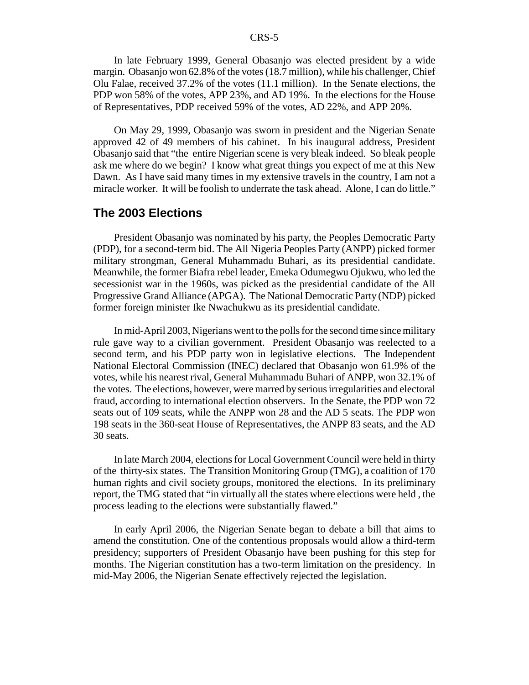In late February 1999, General Obasanjo was elected president by a wide margin. Obasanjo won 62.8% of the votes (18.7 million), while his challenger, Chief Olu Falae, received 37.2% of the votes (11.1 million). In the Senate elections, the PDP won 58% of the votes, APP 23%, and AD 19%. In the elections for the House of Representatives, PDP received 59% of the votes, AD 22%, and APP 20%.

On May 29, 1999, Obasanjo was sworn in president and the Nigerian Senate approved 42 of 49 members of his cabinet. In his inaugural address, President Obasanjo said that "the entire Nigerian scene is very bleak indeed. So bleak people ask me where do we begin? I know what great things you expect of me at this New Dawn. As I have said many times in my extensive travels in the country, I am not a miracle worker. It will be foolish to underrate the task ahead. Alone, I can do little."

#### **The 2003 Elections**

President Obasanjo was nominated by his party, the Peoples Democratic Party (PDP), for a second-term bid. The All Nigeria Peoples Party (ANPP) picked former military strongman, General Muhammadu Buhari, as its presidential candidate. Meanwhile, the former Biafra rebel leader, Emeka Odumegwu Ojukwu, who led the secessionist war in the 1960s, was picked as the presidential candidate of the All Progressive Grand Alliance (APGA). The National Democratic Party (NDP) picked former foreign minister Ike Nwachukwu as its presidential candidate.

In mid-April 2003, Nigerians went to the polls for the second time since military rule gave way to a civilian government. President Obasanjo was reelected to a second term, and his PDP party won in legislative elections. The Independent National Electoral Commission (INEC) declared that Obasanjo won 61.9% of the votes, while his nearest rival, General Muhammadu Buhari of ANPP, won 32.1% of the votes. The elections, however, were marred by serious irregularities and electoral fraud, according to international election observers. In the Senate, the PDP won 72 seats out of 109 seats, while the ANPP won 28 and the AD 5 seats. The PDP won 198 seats in the 360-seat House of Representatives, the ANPP 83 seats, and the AD 30 seats.

In late March 2004, elections for Local Government Council were held in thirty of the thirty-six states. The Transition Monitoring Group (TMG), a coalition of 170 human rights and civil society groups, monitored the elections. In its preliminary report, the TMG stated that "in virtually all the states where elections were held , the process leading to the elections were substantially flawed."

In early April 2006, the Nigerian Senate began to debate a bill that aims to amend the constitution. One of the contentious proposals would allow a third-term presidency; supporters of President Obasanjo have been pushing for this step for months. The Nigerian constitution has a two-term limitation on the presidency. In mid-May 2006, the Nigerian Senate effectively rejected the legislation.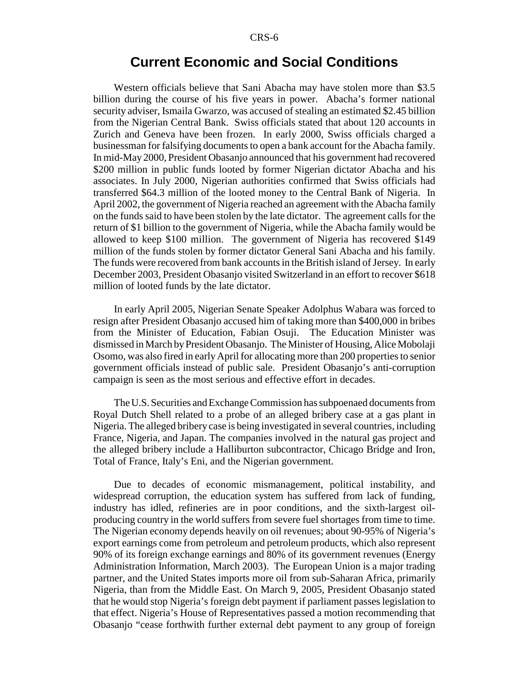# **Current Economic and Social Conditions**

Western officials believe that Sani Abacha may have stolen more than \$3.5 billion during the course of his five years in power. Abacha's former national security adviser, Ismaila Gwarzo, was accused of stealing an estimated \$2.45 billion from the Nigerian Central Bank. Swiss officials stated that about 120 accounts in Zurich and Geneva have been frozen. In early 2000, Swiss officials charged a businessman for falsifying documents to open a bank account for the Abacha family. In mid-May 2000, President Obasanjo announced that his government had recovered \$200 million in public funds looted by former Nigerian dictator Abacha and his associates. In July 2000, Nigerian authorities confirmed that Swiss officials had transferred \$64.3 million of the looted money to the Central Bank of Nigeria. In April 2002, the government of Nigeria reached an agreement with the Abacha family on the funds said to have been stolen by the late dictator. The agreement calls for the return of \$1 billion to the government of Nigeria, while the Abacha family would be allowed to keep \$100 million. The government of Nigeria has recovered \$149 million of the funds stolen by former dictator General Sani Abacha and his family. The funds were recovered from bank accounts in the British island of Jersey. In early December 2003, President Obasanjo visited Switzerland in an effort to recover \$618 million of looted funds by the late dictator.

In early April 2005, Nigerian Senate Speaker Adolphus Wabara was forced to resign after President Obasanjo accused him of taking more than \$400,000 in bribes from the Minister of Education, Fabian Osuji. The Education Minister was dismissed in March by President Obasanjo. The Minister of Housing, Alice Mobolaji Osomo, was also fired in early April for allocating more than 200 properties to senior government officials instead of public sale. President Obasanjo's anti-corruption campaign is seen as the most serious and effective effort in decades.

The U.S. Securities and Exchange Commission has subpoenaed documents from Royal Dutch Shell related to a probe of an alleged bribery case at a gas plant in Nigeria. The alleged bribery case is being investigated in several countries, including France, Nigeria, and Japan. The companies involved in the natural gas project and the alleged bribery include a Halliburton subcontractor, Chicago Bridge and Iron, Total of France, Italy's Eni, and the Nigerian government.

Due to decades of economic mismanagement, political instability, and widespread corruption, the education system has suffered from lack of funding, industry has idled, refineries are in poor conditions, and the sixth-largest oilproducing country in the world suffers from severe fuel shortages from time to time. The Nigerian economy depends heavily on oil revenues; about 90-95% of Nigeria's export earnings come from petroleum and petroleum products, which also represent 90% of its foreign exchange earnings and 80% of its government revenues (Energy Administration Information, March 2003). The European Union is a major trading partner, and the United States imports more oil from sub-Saharan Africa, primarily Nigeria, than from the Middle East. On March 9, 2005, President Obasanjo stated that he would stop Nigeria's foreign debt payment if parliament passes legislation to that effect. Nigeria's House of Representatives passed a motion recommending that Obasanjo "cease forthwith further external debt payment to any group of foreign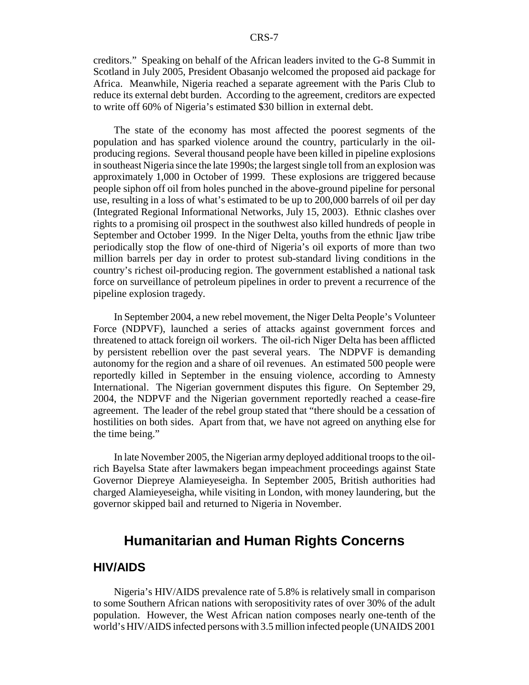creditors." Speaking on behalf of the African leaders invited to the G-8 Summit in Scotland in July 2005, President Obasanjo welcomed the proposed aid package for Africa. Meanwhile, Nigeria reached a separate agreement with the Paris Club to reduce its external debt burden. According to the agreement, creditors are expected to write off 60% of Nigeria's estimated \$30 billion in external debt.

The state of the economy has most affected the poorest segments of the population and has sparked violence around the country, particularly in the oilproducing regions. Several thousand people have been killed in pipeline explosions in southeast Nigeria since the late 1990s; the largest single toll from an explosion was approximately 1,000 in October of 1999. These explosions are triggered because people siphon off oil from holes punched in the above-ground pipeline for personal use, resulting in a loss of what's estimated to be up to 200,000 barrels of oil per day (Integrated Regional Informational Networks, July 15, 2003). Ethnic clashes over rights to a promising oil prospect in the southwest also killed hundreds of people in September and October 1999. In the Niger Delta, youths from the ethnic Ijaw tribe periodically stop the flow of one-third of Nigeria's oil exports of more than two million barrels per day in order to protest sub-standard living conditions in the country's richest oil-producing region. The government established a national task force on surveillance of petroleum pipelines in order to prevent a recurrence of the pipeline explosion tragedy.

In September 2004, a new rebel movement, the Niger Delta People's Volunteer Force (NDPVF), launched a series of attacks against government forces and threatened to attack foreign oil workers. The oil-rich Niger Delta has been afflicted by persistent rebellion over the past several years. The NDPVF is demanding autonomy for the region and a share of oil revenues. An estimated 500 people were reportedly killed in September in the ensuing violence, according to Amnesty International. The Nigerian government disputes this figure. On September 29, 2004, the NDPVF and the Nigerian government reportedly reached a cease-fire agreement. The leader of the rebel group stated that "there should be a cessation of hostilities on both sides. Apart from that, we have not agreed on anything else for the time being."

In late November 2005, the Nigerian army deployed additional troops to the oilrich Bayelsa State after lawmakers began impeachment proceedings against State Governor Diepreye Alamieyeseigha. In September 2005, British authorities had charged Alamieyeseigha, while visiting in London, with money laundering, but the governor skipped bail and returned to Nigeria in November.

## **Humanitarian and Human Rights Concerns**

#### **HIV/AIDS**

Nigeria's HIV/AIDS prevalence rate of 5.8% is relatively small in comparison to some Southern African nations with seropositivity rates of over 30% of the adult population. However, the West African nation composes nearly one-tenth of the world's HIV/AIDS infected persons with 3.5 million infected people (UNAIDS 2001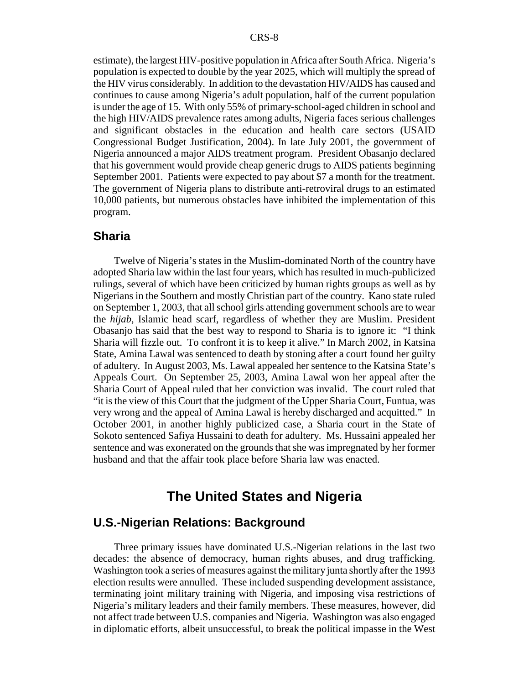estimate), the largest HIV-positive population in Africa after South Africa. Nigeria's population is expected to double by the year 2025, which will multiply the spread of the HIV virus considerably. In addition to the devastation HIV/AIDS has caused and continues to cause among Nigeria's adult population, half of the current population is under the age of 15. With only 55% of primary-school-aged children in school and the high HIV/AIDS prevalence rates among adults, Nigeria faces serious challenges and significant obstacles in the education and health care sectors (USAID Congressional Budget Justification, 2004). In late July 2001, the government of Nigeria announced a major AIDS treatment program. President Obasanjo declared that his government would provide cheap generic drugs to AIDS patients beginning September 2001. Patients were expected to pay about \$7 a month for the treatment. The government of Nigeria plans to distribute anti-retroviral drugs to an estimated 10,000 patients, but numerous obstacles have inhibited the implementation of this program.

#### **Sharia**

Twelve of Nigeria's states in the Muslim-dominated North of the country have adopted Sharia law within the last four years, which has resulted in much-publicized rulings, several of which have been criticized by human rights groups as well as by Nigerians in the Southern and mostly Christian part of the country. Kano state ruled on September 1, 2003, that all school girls attending government schools are to wear the *hijab*, Islamic head scarf, regardless of whether they are Muslim. President Obasanjo has said that the best way to respond to Sharia is to ignore it: "I think Sharia will fizzle out. To confront it is to keep it alive." In March 2002, in Katsina State, Amina Lawal was sentenced to death by stoning after a court found her guilty of adultery. In August 2003, Ms. Lawal appealed her sentence to the Katsina State's Appeals Court. On September 25, 2003, Amina Lawal won her appeal after the Sharia Court of Appeal ruled that her conviction was invalid. The court ruled that "it is the view of this Court that the judgment of the Upper Sharia Court, Funtua, was very wrong and the appeal of Amina Lawal is hereby discharged and acquitted." In October 2001, in another highly publicized case, a Sharia court in the State of Sokoto sentenced Safiya Hussaini to death for adultery. Ms. Hussaini appealed her sentence and was exonerated on the grounds that she was impregnated by her former husband and that the affair took place before Sharia law was enacted.

# **The United States and Nigeria**

#### **U.S.-Nigerian Relations: Background**

Three primary issues have dominated U.S.-Nigerian relations in the last two decades: the absence of democracy, human rights abuses, and drug trafficking. Washington took a series of measures against the military junta shortly after the 1993 election results were annulled. These included suspending development assistance, terminating joint military training with Nigeria, and imposing visa restrictions of Nigeria's military leaders and their family members. These measures, however, did not affect trade between U.S. companies and Nigeria. Washington was also engaged in diplomatic efforts, albeit unsuccessful, to break the political impasse in the West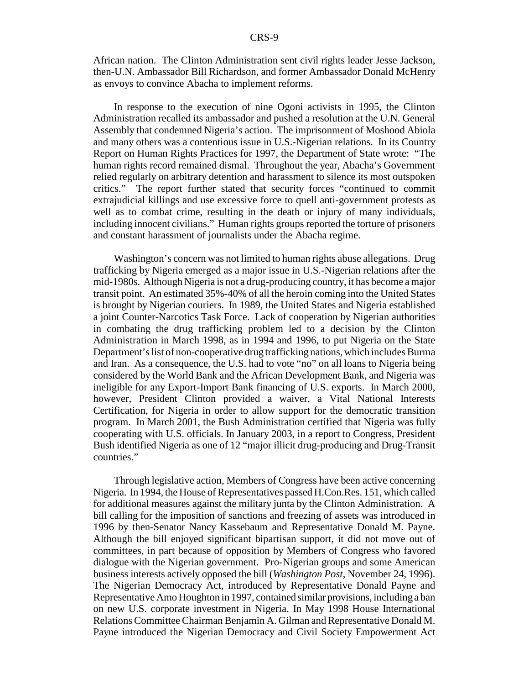African nation. The Clinton Administration sent civil rights leader Jesse Jackson, then-U.N. Ambassador Bill Richardson, and former Ambassador Donald McHenry as envoys to convince Abacha to implement reforms.

In response to the execution of nine Ogoni activists in 1995, the Clinton Administration recalled its ambassador and pushed a resolution at the U.N. General Assembly that condemned Nigeria's action. The imprisonment of Moshood Abiola and many others was a contentious issue in U.S.-Nigerian relations. In its Country Report on Human Rights Practices for 1997, the Department of State wrote: "The human rights record remained dismal. Throughout the year, Abacha's Government relied regularly on arbitrary detention and harassment to silence its most outspoken critics." The report further stated that security forces "continued to commit extrajudicial killings and use excessive force to quell anti-government protests as well as to combat crime, resulting in the death or injury of many individuals, including innocent civilians." Human rights groups reported the torture of prisoners and constant harassment of journalists under the Abacha regime.

Washington's concern was not limited to human rights abuse allegations. Drug trafficking by Nigeria emerged as a major issue in U.S.-Nigerian relations after the mid-1980s. Although Nigeria is not a drug-producing country, it has become a major transit point. An estimated 35%-40% of all the heroin coming into the United States is brought by Nigerian couriers. In 1989, the United States and Nigeria established a joint Counter-Narcotics Task Force. Lack of cooperation by Nigerian authorities in combating the drug trafficking problem led to a decision by the Clinton Administration in March 1998, as in 1994 and 1996, to put Nigeria on the State Department's list of non-cooperative drug trafficking nations, which includes Burma and Iran. As a consequence, the U.S. had to vote "no" on all loans to Nigeria being considered by the World Bank and the African Development Bank, and Nigeria was ineligible for any Export-Import Bank financing of U.S. exports. In March 2000, however, President Clinton provided a waiver, a Vital National Interests Certification, for Nigeria in order to allow support for the democratic transition program. In March 2001, the Bush Administration certified that Nigeria was fully cooperating with U.S. officials. In January 2003, in a report to Congress, President Bush identified Nigeria as one of 12 "major illicit drug-producing and Drug-Transit countries."

Through legislative action, Members of Congress have been active concerning Nigeria. In 1994, the House of Representatives passed H.Con.Res. 151, which called for additional measures against the military junta by the Clinton Administration. A bill calling for the imposition of sanctions and freezing of assets was introduced in 1996 by then-Senator Nancy Kassebaum and Representative Donald M. Payne. Although the bill enjoyed significant bipartisan support, it did not move out of committees, in part because of opposition by Members of Congress who favored dialogue with the Nigerian government. Pro-Nigerian groups and some American business interests actively opposed the bill (*Washington Post*, November 24, 1996). The Nigerian Democracy Act, introduced by Representative Donald Payne and Representative Amo Houghton in 1997, contained similar provisions, including a ban on new U.S. corporate investment in Nigeria. In May 1998 House International Relations Committee Chairman Benjamin A. Gilman and Representative Donald M. Payne introduced the Nigerian Democracy and Civil Society Empowerment Act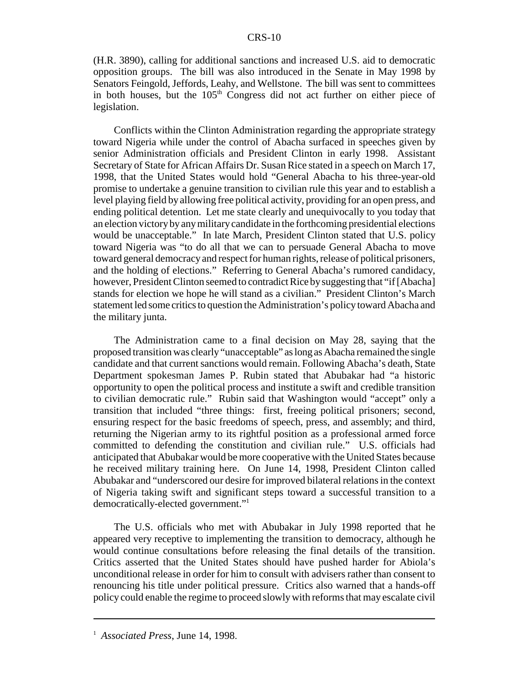(H.R. 3890), calling for additional sanctions and increased U.S. aid to democratic opposition groups. The bill was also introduced in the Senate in May 1998 by Senators Feingold, Jeffords, Leahy, and Wellstone. The bill was sent to committees in both houses, but the  $105<sup>th</sup>$  Congress did not act further on either piece of legislation.

Conflicts within the Clinton Administration regarding the appropriate strategy toward Nigeria while under the control of Abacha surfaced in speeches given by senior Administration officials and President Clinton in early 1998. Assistant Secretary of State for African Affairs Dr. Susan Rice stated in a speech on March 17, 1998, that the United States would hold "General Abacha to his three-year-old promise to undertake a genuine transition to civilian rule this year and to establish a level playing field by allowing free political activity, providing for an open press, and ending political detention. Let me state clearly and unequivocally to you today that an election victory by any military candidate in the forthcoming presidential elections would be unacceptable." In late March, President Clinton stated that U.S. policy toward Nigeria was "to do all that we can to persuade General Abacha to move toward general democracy and respect for human rights, release of political prisoners, and the holding of elections." Referring to General Abacha's rumored candidacy, however, President Clinton seemed to contradict Rice by suggesting that "if [Abacha] stands for election we hope he will stand as a civilian." President Clinton's March statement led some critics to question the Administration's policy toward Abacha and the military junta.

The Administration came to a final decision on May 28, saying that the proposed transition was clearly "unacceptable" as long as Abacha remained the single candidate and that current sanctions would remain. Following Abacha's death, State Department spokesman James P. Rubin stated that Abubakar had "a historic opportunity to open the political process and institute a swift and credible transition to civilian democratic rule." Rubin said that Washington would "accept" only a transition that included "three things: first, freeing political prisoners; second, ensuring respect for the basic freedoms of speech, press, and assembly; and third, returning the Nigerian army to its rightful position as a professional armed force committed to defending the constitution and civilian rule." U.S. officials had anticipated that Abubakar would be more cooperative with the United States because he received military training here. On June 14, 1998, President Clinton called Abubakar and "underscored our desire for improved bilateral relations in the context of Nigeria taking swift and significant steps toward a successful transition to a democratically-elected government."1

The U.S. officials who met with Abubakar in July 1998 reported that he appeared very receptive to implementing the transition to democracy, although he would continue consultations before releasing the final details of the transition. Critics asserted that the United States should have pushed harder for Abiola's unconditional release in order for him to consult with advisers rather than consent to renouncing his title under political pressure. Critics also warned that a hands-off policy could enable the regime to proceed slowly with reforms that may escalate civil

<sup>1</sup> *Associated Press*, June 14, 1998.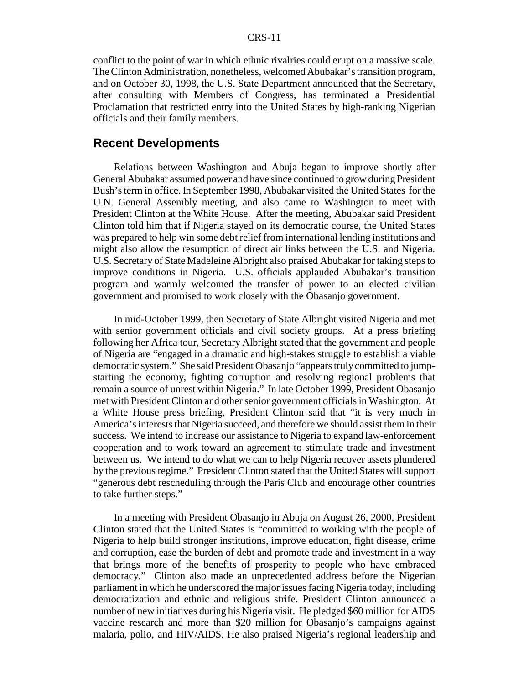#### CRS-11

conflict to the point of war in which ethnic rivalries could erupt on a massive scale. The Clinton Administration, nonetheless, welcomed Abubakar's transition program, and on October 30, 1998, the U.S. State Department announced that the Secretary, after consulting with Members of Congress, has terminated a Presidential Proclamation that restricted entry into the United States by high-ranking Nigerian officials and their family members.

#### **Recent Developments**

Relations between Washington and Abuja began to improve shortly after General Abubakar assumed power and have since continued to grow during President Bush's term in office. In September 1998, Abubakar visited the United States for the U.N. General Assembly meeting, and also came to Washington to meet with President Clinton at the White House. After the meeting, Abubakar said President Clinton told him that if Nigeria stayed on its democratic course, the United States was prepared to help win some debt relief from international lending institutions and might also allow the resumption of direct air links between the U.S. and Nigeria. U.S. Secretary of State Madeleine Albright also praised Abubakar for taking steps to improve conditions in Nigeria. U.S. officials applauded Abubakar's transition program and warmly welcomed the transfer of power to an elected civilian government and promised to work closely with the Obasanjo government.

In mid-October 1999, then Secretary of State Albright visited Nigeria and met with senior government officials and civil society groups. At a press briefing following her Africa tour, Secretary Albright stated that the government and people of Nigeria are "engaged in a dramatic and high-stakes struggle to establish a viable democratic system." She said President Obasanjo "appears truly committed to jumpstarting the economy, fighting corruption and resolving regional problems that remain a source of unrest within Nigeria." In late October 1999, President Obasanjo met with President Clinton and other senior government officials in Washington. At a White House press briefing, President Clinton said that "it is very much in America's interests that Nigeria succeed, and therefore we should assist them in their success. We intend to increase our assistance to Nigeria to expand law-enforcement cooperation and to work toward an agreement to stimulate trade and investment between us. We intend to do what we can to help Nigeria recover assets plundered by the previous regime." President Clinton stated that the United States will support "generous debt rescheduling through the Paris Club and encourage other countries to take further steps."

In a meeting with President Obasanjo in Abuja on August 26, 2000, President Clinton stated that the United States is "committed to working with the people of Nigeria to help build stronger institutions, improve education, fight disease, crime and corruption, ease the burden of debt and promote trade and investment in a way that brings more of the benefits of prosperity to people who have embraced democracy." Clinton also made an unprecedented address before the Nigerian parliament in which he underscored the major issues facing Nigeria today, including democratization and ethnic and religious strife. President Clinton announced a number of new initiatives during his Nigeria visit. He pledged \$60 million for AIDS vaccine research and more than \$20 million for Obasanjo's campaigns against malaria, polio, and HIV/AIDS. He also praised Nigeria's regional leadership and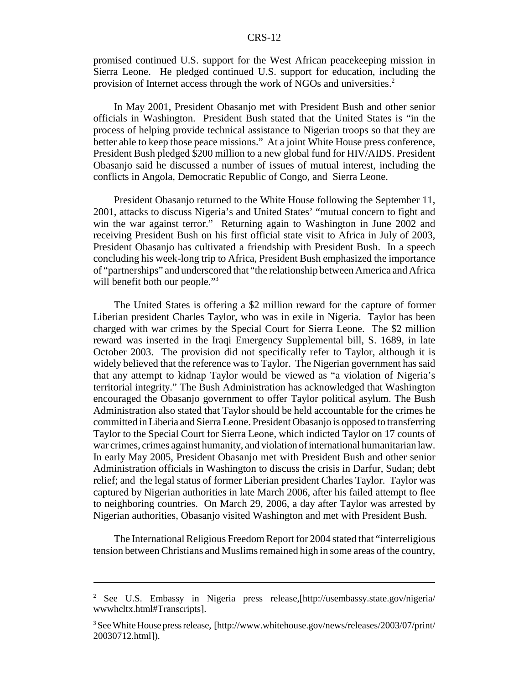#### CRS-12

promised continued U.S. support for the West African peacekeeping mission in Sierra Leone. He pledged continued U.S. support for education, including the provision of Internet access through the work of NGOs and universities.<sup>2</sup>

In May 2001, President Obasanjo met with President Bush and other senior officials in Washington. President Bush stated that the United States is "in the process of helping provide technical assistance to Nigerian troops so that they are better able to keep those peace missions." At a joint White House press conference, President Bush pledged \$200 million to a new global fund for HIV/AIDS. President Obasanjo said he discussed a number of issues of mutual interest, including the conflicts in Angola, Democratic Republic of Congo, and Sierra Leone.

President Obasanjo returned to the White House following the September 11, 2001, attacks to discuss Nigeria's and United States' "mutual concern to fight and win the war against terror." Returning again to Washington in June 2002 and receiving President Bush on his first official state visit to Africa in July of 2003, President Obasanjo has cultivated a friendship with President Bush. In a speech concluding his week-long trip to Africa, President Bush emphasized the importance of "partnerships" and underscored that "the relationship between America and Africa will benefit both our people."<sup>3</sup>

The United States is offering a \$2 million reward for the capture of former Liberian president Charles Taylor, who was in exile in Nigeria. Taylor has been charged with war crimes by the Special Court for Sierra Leone. The \$2 million reward was inserted in the Iraqi Emergency Supplemental bill, S. 1689, in late October 2003. The provision did not specifically refer to Taylor, although it is widely believed that the reference was to Taylor. The Nigerian government has said that any attempt to kidnap Taylor would be viewed as "a violation of Nigeria's territorial integrity." The Bush Administration has acknowledged that Washington encouraged the Obasanjo government to offer Taylor political asylum. The Bush Administration also stated that Taylor should be held accountable for the crimes he committed in Liberia and Sierra Leone. President Obasanjo is opposed to transferring Taylor to the Special Court for Sierra Leone, which indicted Taylor on 17 counts of war crimes, crimes against humanity, and violation of international humanitarian law. In early May 2005, President Obasanjo met with President Bush and other senior Administration officials in Washington to discuss the crisis in Darfur, Sudan; debt relief; and the legal status of former Liberian president Charles Taylor. Taylor was captured by Nigerian authorities in late March 2006, after his failed attempt to flee to neighboring countries. On March 29, 2006, a day after Taylor was arrested by Nigerian authorities, Obasanjo visited Washington and met with President Bush.

The International Religious Freedom Report for 2004 stated that "interreligious tension between Christians and Muslims remained high in some areas of the country,

<sup>2</sup> See U.S. Embassy in Nigeria press release,[http://usembassy.state.gov/nigeria/ wwwhcltx.html#Transcripts].

<sup>&</sup>lt;sup>3</sup> See White House press release, [http://www.whitehouse.gov/news/releases/2003/07/print/ 20030712.html]).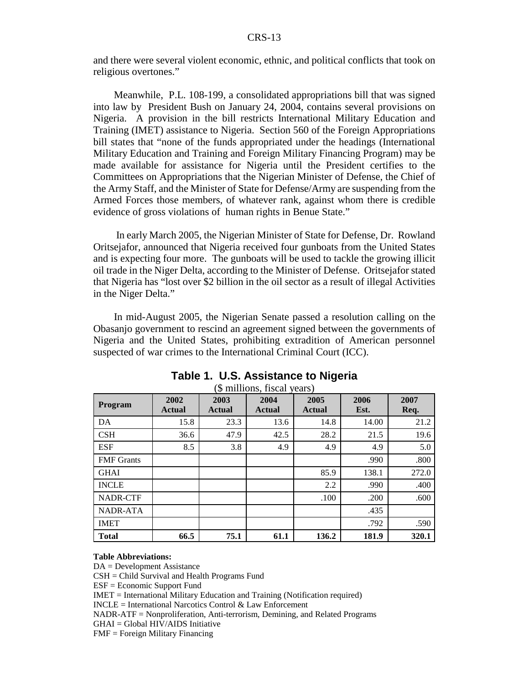and there were several violent economic, ethnic, and political conflicts that took on religious overtones."

Meanwhile, P.L. 108-199, a consolidated appropriations bill that was signed into law by President Bush on January 24, 2004, contains several provisions on Nigeria. A provision in the bill restricts International Military Education and Training (IMET) assistance to Nigeria. Section 560 of the Foreign Appropriations bill states that "none of the funds appropriated under the headings (International Military Education and Training and Foreign Military Financing Program) may be made available for assistance for Nigeria until the President certifies to the Committees on Appropriations that the Nigerian Minister of Defense, the Chief of the Army Staff, and the Minister of State for Defense/Army are suspending from the Armed Forces those members, of whatever rank, against whom there is credible evidence of gross violations of human rights in Benue State."

 In early March 2005, the Nigerian Minister of State for Defense, Dr. Rowland Oritsejafor, announced that Nigeria received four gunboats from the United States and is expecting four more. The gunboats will be used to tackle the growing illicit oil trade in the Niger Delta, according to the Minister of Defense. Oritsejafor stated that Nigeria has "lost over \$2 billion in the oil sector as a result of illegal Activities in the Niger Delta."

In mid-August 2005, the Nigerian Senate passed a resolution calling on the Obasanjo government to rescind an agreement signed between the governments of Nigeria and the United States, prohibiting extradition of American personnel suspected of war crimes to the International Criminal Court (ICC).

| <b>Program</b>    | 2002<br><b>Actual</b> | 2003<br><b>Actual</b> | 2004<br><b>Actual</b> | 2005<br><b>Actual</b> | 2006<br>Est. | 2007<br>Req. |
|-------------------|-----------------------|-----------------------|-----------------------|-----------------------|--------------|--------------|
| DA                | 15.8                  | 23.3                  | 13.6                  | 14.8                  | 14.00        | 21.2         |
| CSH               | 36.6                  | 47.9                  | 42.5                  | 28.2                  | 21.5         | 19.6         |
| <b>ESF</b>        | 8.5                   | 3.8                   | 4.9                   | 4.9                   | 4.9          | 5.0          |
| <b>FMF</b> Grants |                       |                       |                       |                       | .990         | .800         |
| <b>GHAI</b>       |                       |                       |                       | 85.9                  | 138.1        | 272.0        |
| <b>INCLE</b>      |                       |                       |                       | 2.2                   | .990         | .400         |
| <b>NADR-CTF</b>   |                       |                       |                       | .100                  | .200         | .600         |
| <b>NADR-ATA</b>   |                       |                       |                       |                       | .435         |              |
| <b>IMET</b>       |                       |                       |                       |                       | .792         | .590         |
| <b>Total</b>      | 66.5                  | 75.1                  | 61.1                  | 136.2                 | 181.9        | 320.1        |

#### **Table 1. U.S. Assistance to Nigeria**  $(\ell \text{ million})$  fiscal years)

**Table Abbreviations:**

DA = Development Assistance

CSH = Child Survival and Health Programs Fund

ESF = Economic Support Fund

IMET = International Military Education and Training (Notification required)

INCLE = International Narcotics Control & Law Enforcement

NADR-ATF = Nonproliferation, Anti-terrorism, Demining, and Related Programs GHAI = Global HIV/AIDS Initiative

FMF = Foreign Military Financing